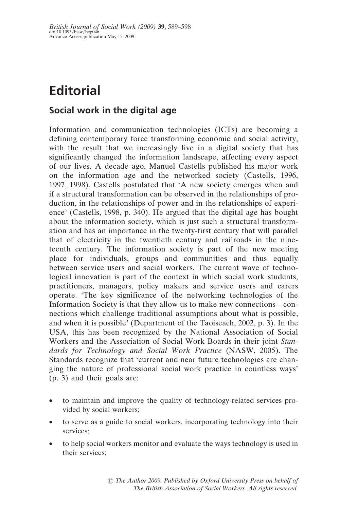# **Editorial**

## Social work in the digital age

Information and communication technologies (ICTs) are becoming a defining contemporary force transforming economic and social activity, with the result that we increasingly live in a digital society that has significantly changed the information landscape, affecting every aspect of our lives. A decade ago, Manuel Castells published his major work on the information age and the networked society (Castells, 1996, 1997, 1998). Castells postulated that 'A new society emerges when and if a structural transformation can be observed in the relationships of production, in the relationships of power and in the relationships of experience' (Castells, 1998, p. 340). He argued that the digital age has bought about the information society, which is just such a structural transformation and has an importance in the twenty-first century that will parallel that of electricity in the twentieth century and railroads in the nineteenth century. The information society is part of the new meeting place for individuals, groups and communities and thus equally between service users and social workers. The current wave of technological innovation is part of the context in which social work students, practitioners, managers, policy makers and service users and carers operate. 'The key significance of the networking technologies of the Information Society is that they allow us to make new connections—connections which challenge traditional assumptions about what is possible, and when it is possible' (Department of the Taoiseach, 2002, p. 3). In the USA, this has been recognized by the National Association of Social Workers and the Association of Social Work Boards in their joint Standards for Technology and Social Work Practice (NASW, 2005). The Standards recognize that 'current and near future technologies are changing the nature of professional social work practice in countless ways' (p. 3) and their goals are:

- † to maintain and improve the quality of technology-related services provided by social workers;
- to serve as a guide to social workers, incorporating technology into their services;
- † to help social workers monitor and evaluate the ways technology is used in their services;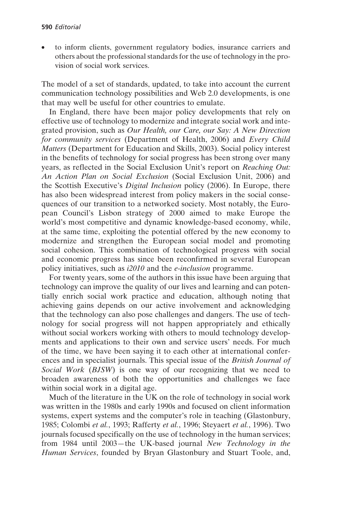† to inform clients, government regulatory bodies, insurance carriers and others about the professional standards for the use of technology in the provision of social work services.

The model of a set of standards, updated, to take into account the current communication technology possibilities and Web 2.0 developments, is one that may well be useful for other countries to emulate.

In England, there have been major policy developments that rely on effective use of technology to modernize and integrate social work and integrated provision, such as Our Health, our Care, our Say: A New Direction for community services (Department of Health, 2006) and Every Child Matters (Department for Education and Skills, 2003). Social policy interest in the benefits of technology for social progress has been strong over many years, as reflected in the Social Exclusion Unit's report on Reaching Out: An Action Plan on Social Exclusion (Social Exclusion Unit, 2006) and the Scottish Executive's Digital Inclusion policy (2006). In Europe, there has also been widespread interest from policy makers in the social consequences of our transition to a networked society. Most notably, the European Council's Lisbon strategy of 2000 aimed to make Europe the world's most competitive and dynamic knowledge-based economy, while, at the same time, exploiting the potential offered by the new economy to modernize and strengthen the European social model and promoting social cohesion. This combination of technological progress with social and economic progress has since been reconfirmed in several European policy initiatives, such as i2010 and the e-inclusion programme.

For twenty years, some of the authors in this issue have been arguing that technology can improve the quality of our lives and learning and can potentially enrich social work practice and education, although noting that achieving gains depends on our active involvement and acknowledging that the technology can also pose challenges and dangers. The use of technology for social progress will not happen appropriately and ethically without social workers working with others to mould technology developments and applications to their own and service users' needs. For much of the time, we have been saying it to each other at international conferences and in specialist journals. This special issue of the British Journal of Social Work (BJSW) is one way of our recognizing that we need to broaden awareness of both the opportunities and challenges we face within social work in a digital age.

Much of the literature in the UK on the role of technology in social work was written in the 1980s and early 1990s and focused on client information systems, expert systems and the computer's role in teaching (Glastonbury, 1985; Colombi et al., 1993; Rafferty et al., 1996; Steyaert et al., 1996). Two journals focused specifically on the use of technology in the human services; from 1984 until 2003—the UK-based journal New Technology in the Human Services, founded by Bryan Glastonbury and Stuart Toole, and,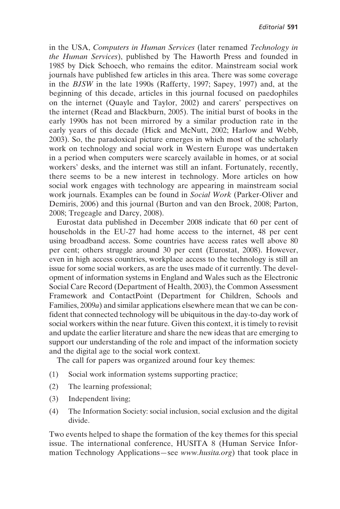in the USA, Computers in Human Services (later renamed Technology in the Human Services), published by The Haworth Press and founded in 1985 by Dick Schoech, who remains the editor. Mainstream social work journals have published few articles in this area. There was some coverage in the BJSW in the late 1990s (Rafferty, 1997; Sapey, 1997) and, at the beginning of this decade, articles in this journal focused on paedophiles on the internet (Quayle and Taylor, 2002) and carers' perspectives on the internet (Read and Blackburn, 2005). The initial burst of books in the early 1990s has not been mirrored by a similar production rate in the early years of this decade (Hick and McNutt, 2002; Harlow and Webb, 2003). So, the paradoxical picture emerges in which most of the scholarly work on technology and social work in Western Europe was undertaken in a period when computers were scarcely available in homes, or at social workers' desks, and the internet was still an infant. Fortunately, recently, there seems to be a new interest in technology. More articles on how social work engages with technology are appearing in mainstream social work journals. Examples can be found in *Social Work* (Parker-Oliver and Demiris, 2006) and this journal (Burton and van den Broek, 2008; Parton, 2008; Tregeagle and Darcy, 2008).

Eurostat data published in December 2008 indicate that 60 per cent of households in the EU-27 had home access to the internet, 48 per cent using broadband access. Some countries have access rates well above 80 per cent; others struggle around 30 per cent (Eurostat, 2008). However, even in high access countries, workplace access to the technology is still an issue for some social workers, as are the uses made of it currently. The development of information systems in England and Wales such as the Electronic Social Care Record (Department of Health, 2003), the Common Assessment Framework and ContactPoint (Department for Children, Schools and Families, 2009a) and similar applications elsewhere mean that we can be confident that connected technology will be ubiquitous in the day-to-day work of social workers within the near future. Given this context, it is timely to revisit and update the earlier literature and share the new ideas that are emerging to support our understanding of the role and impact of the information society and the digital age to the social work context.

The call for papers was organized around four key themes:

- (1) Social work information systems supporting practice;
- (2) The learning professional;
- (3) Independent living;
- (4) The Information Society: social inclusion, social exclusion and the digital divide.

Two events helped to shape the formation of the key themes for this special issue. The international conference, HUSITA 8 (Human Service Information Technology Applications—see www.husita.org) that took place in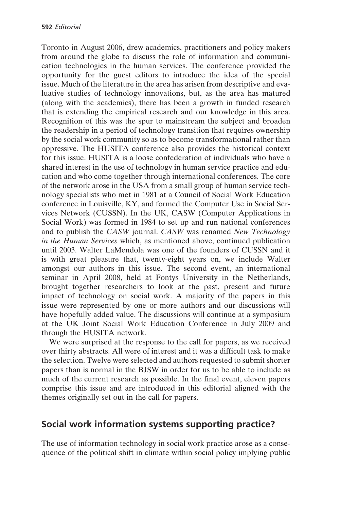Toronto in August 2006, drew academics, practitioners and policy makers from around the globe to discuss the role of information and communication technologies in the human services. The conference provided the opportunity for the guest editors to introduce the idea of the special issue. Much of the literature in the area has arisen from descriptive and evaluative studies of technology innovations, but, as the area has matured (along with the academics), there has been a growth in funded research that is extending the empirical research and our knowledge in this area. Recognition of this was the spur to mainstream the subject and broaden the readership in a period of technology transition that requires ownership by the social work community so as to become transformational rather than oppressive. The HUSITA conference also provides the historical context for this issue. HUSITA is a loose confederation of individuals who have a shared interest in the use of technology in human service practice and education and who come together through international conferences. The core of the network arose in the USA from a small group of human service technology specialists who met in 1981 at a Council of Social Work Education conference in Louisville, KY, and formed the Computer Use in Social Services Network (CUSSN). In the UK, CASW (Computer Applications in Social Work) was formed in 1984 to set up and run national conferences and to publish the CASW journal. CASW was renamed New Technology in the Human Services which, as mentioned above, continued publication until 2003. Walter LaMendola was one of the founders of CUSSN and it is with great pleasure that, twenty-eight years on, we include Walter amongst our authors in this issue. The second event, an international seminar in April 2008, held at Fontys University in the Netherlands, brought together researchers to look at the past, present and future impact of technology on social work. A majority of the papers in this issue were represented by one or more authors and our discussions will have hopefully added value. The discussions will continue at a symposium at the UK Joint Social Work Education Conference in July 2009 and through the HUSITA network.

We were surprised at the response to the call for papers, as we received over thirty abstracts. All were of interest and it was a difficult task to make the selection. Twelve were selected and authors requested to submit shorter papers than is normal in the BJSW in order for us to be able to include as much of the current research as possible. In the final event, eleven papers comprise this issue and are introduced in this editorial aligned with the themes originally set out in the call for papers.

#### Social work information systems supporting practice?

The use of information technology in social work practice arose as a consequence of the political shift in climate within social policy implying public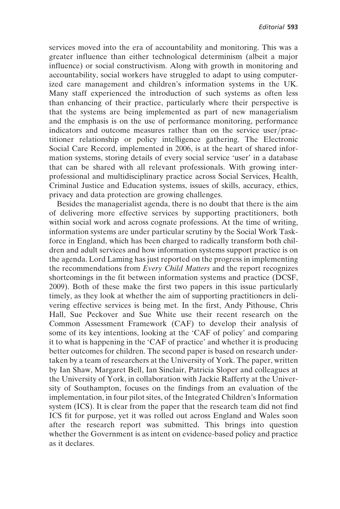services moved into the era of accountability and monitoring. This was a greater influence than either technological determinism (albeit a major influence) or social constructivism. Along with growth in monitoring and accountability, social workers have struggled to adapt to using computerized care management and children's information systems in the UK. Many staff experienced the introduction of such systems as often less than enhancing of their practice, particularly where their perspective is that the systems are being implemented as part of new managerialism and the emphasis is on the use of performance monitoring, performance indicators and outcome measures rather than on the service user/practitioner relationship or policy intelligence gathering. The Electronic Social Care Record, implemented in 2006, is at the heart of shared information systems, storing details of every social service 'user' in a database that can be shared with all relevant professionals. With growing interprofessional and multidisciplinary practice across Social Services, Health, Criminal Justice and Education systems, issues of skills, accuracy, ethics, privacy and data protection are growing challenges.

Besides the managerialist agenda, there is no doubt that there is the aim of delivering more effective services by supporting practitioners, both within social work and across cognate professions. At the time of writing, information systems are under particular scrutiny by the Social Work Taskforce in England, which has been charged to radically transform both children and adult services and how information systems support practice is on the agenda. Lord Laming has just reported on the progress in implementing the recommendations from Every Child Matters and the report recognizes shortcomings in the fit between information systems and practice (DCSF, 2009). Both of these make the first two papers in this issue particularly timely, as they look at whether the aim of supporting practitioners in delivering effective services is being met. In the first, Andy Pithouse, Chris Hall, Sue Peckover and Sue White use their recent research on the Common Assessment Framework (CAF) to develop their analysis of some of its key intentions, looking at the 'CAF of policy' and comparing it to what is happening in the 'CAF of practice' and whether it is producing better outcomes for children. The second paper is based on research undertaken by a team of researchers at the University of York. The paper, written by Ian Shaw, Margaret Bell, Ian Sinclair, Patricia Sloper and colleagues at the University of York, in collaboration with Jackie Rafferty at the University of Southampton, focuses on the findings from an evaluation of the implementation, in four pilot sites, of the Integrated Children's Information system (ICS). It is clear from the paper that the research team did not find ICS fit for purpose, yet it was rolled out across England and Wales soon after the research report was submitted. This brings into question whether the Government is as intent on evidence-based policy and practice as it declares.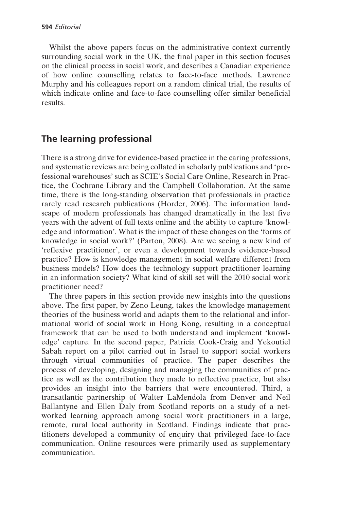Whilst the above papers focus on the administrative context currently surrounding social work in the UK, the final paper in this section focuses on the clinical process in social work, and describes a Canadian experience of how online counselling relates to face-to-face methods. Lawrence Murphy and his colleagues report on a random clinical trial, the results of which indicate online and face-to-face counselling offer similar beneficial results.

### The learning professional

There is a strong drive for evidence-based practice in the caring professions, and systematic reviews are being collated in scholarly publications and 'professional warehouses' such as SCIE's Social Care Online, Research in Practice, the Cochrane Library and the Campbell Collaboration. At the same time, there is the long-standing observation that professionals in practice rarely read research publications (Horder, 2006). The information landscape of modern professionals has changed dramatically in the last five years with the advent of full texts online and the ability to capture 'knowledge and information'. What is the impact of these changes on the 'forms of knowledge in social work?' (Parton, 2008). Are we seeing a new kind of 'reflexive practitioner', or even a development towards evidence-based practice? How is knowledge management in social welfare different from business models? How does the technology support practitioner learning in an information society? What kind of skill set will the 2010 social work practitioner need?

The three papers in this section provide new insights into the questions above. The first paper, by Zeno Leung, takes the knowledge management theories of the business world and adapts them to the relational and informational world of social work in Hong Kong, resulting in a conceptual framework that can be used to both understand and implement 'knowledge' capture. In the second paper, Patricia Cook-Craig and Yekoutiel Sabah report on a pilot carried out in Israel to support social workers through virtual communities of practice. The paper describes the process of developing, designing and managing the communities of practice as well as the contribution they made to reflective practice, but also provides an insight into the barriers that were encountered. Third, a transatlantic partnership of Walter LaMendola from Denver and Neil Ballantyne and Ellen Daly from Scotland reports on a study of a networked learning approach among social work practitioners in a large, remote, rural local authority in Scotland. Findings indicate that practitioners developed a community of enquiry that privileged face-to-face communication. Online resources were primarily used as supplementary communication.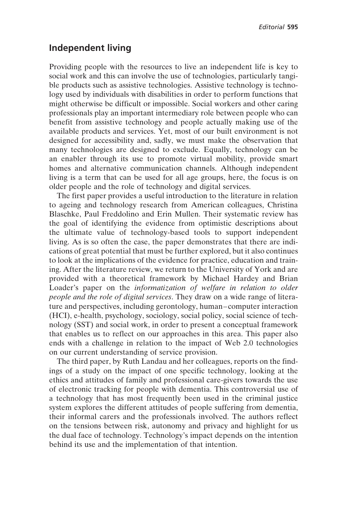#### Independent living

Providing people with the resources to live an independent life is key to social work and this can involve the use of technologies, particularly tangible products such as assistive technologies. Assistive technology is technology used by individuals with disabilities in order to perform functions that might otherwise be difficult or impossible. Social workers and other caring professionals play an important intermediary role between people who can benefit from assistive technology and people actually making use of the available products and services. Yet, most of our built environment is not designed for accessibility and, sadly, we must make the observation that many technologies are designed to exclude. Equally, technology can be an enabler through its use to promote virtual mobility, provide smart homes and alternative communication channels. Although independent living is a term that can be used for all age groups, here, the focus is on older people and the role of technology and digital services.

The first paper provides a useful introduction to the literature in relation to ageing and technology research from American colleagues, Christina Blaschke, Paul Freddolino and Erin Mullen. Their systematic review has the goal of identifying the evidence from optimistic descriptions about the ultimate value of technology-based tools to support independent living. As is so often the case, the paper demonstrates that there are indications of great potential that must be further explored, but it also continues to look at the implications of the evidence for practice, education and training. After the literature review, we return to the University of York and are provided with a theoretical framework by Michael Hardey and Brian Loader's paper on the informatization of welfare in relation to older people and the role of digital services. They draw on a wide range of literature and perspectives, including gerontology, human–computer interaction (HCI), e-health, psychology, sociology, social policy, social science of technology (SST) and social work, in order to present a conceptual framework that enables us to reflect on our approaches in this area. This paper also ends with a challenge in relation to the impact of Web 2.0 technologies on our current understanding of service provision.

The third paper, by Ruth Landau and her colleagues, reports on the findings of a study on the impact of one specific technology, looking at the ethics and attitudes of family and professional care-givers towards the use of electronic tracking for people with dementia. This controversial use of a technology that has most frequently been used in the criminal justice system explores the different attitudes of people suffering from dementia, their informal carers and the professionals involved. The authors reflect on the tensions between risk, autonomy and privacy and highlight for us the dual face of technology. Technology's impact depends on the intention behind its use and the implementation of that intention.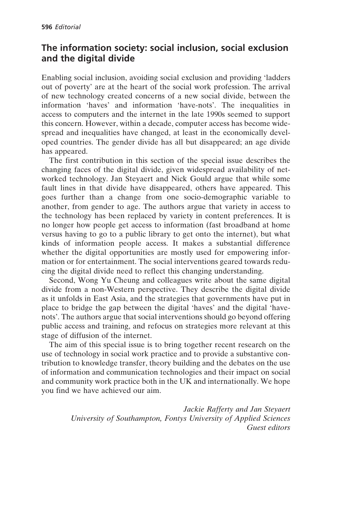### The information society: social inclusion, social exclusion and the digital divide

Enabling social inclusion, avoiding social exclusion and providing 'ladders out of poverty' are at the heart of the social work profession. The arrival of new technology created concerns of a new social divide, between the information 'haves' and information 'have-nots'. The inequalities in access to computers and the internet in the late 1990s seemed to support this concern. However, within a decade, computer access has become widespread and inequalities have changed, at least in the economically developed countries. The gender divide has all but disappeared; an age divide has appeared.

The first contribution in this section of the special issue describes the changing faces of the digital divide, given widespread availability of networked technology. Jan Steyaert and Nick Gould argue that while some fault lines in that divide have disappeared, others have appeared. This goes further than a change from one socio-demographic variable to another, from gender to age. The authors argue that variety in access to the technology has been replaced by variety in content preferences. It is no longer how people get access to information (fast broadband at home versus having to go to a public library to get onto the internet), but what kinds of information people access. It makes a substantial difference whether the digital opportunities are mostly used for empowering information or for entertainment. The social interventions geared towards reducing the digital divide need to reflect this changing understanding.

Second, Wong Yu Cheung and colleagues write about the same digital divide from a non-Western perspective. They describe the digital divide as it unfolds in East Asia, and the strategies that governments have put in place to bridge the gap between the digital 'haves' and the digital 'havenots'. The authors argue that social interventions should go beyond offering public access and training, and refocus on strategies more relevant at this stage of diffusion of the internet.

The aim of this special issue is to bring together recent research on the use of technology in social work practice and to provide a substantive contribution to knowledge transfer, theory building and the debates on the use of information and communication technologies and their impact on social and community work practice both in the UK and internationally. We hope you find we have achieved our aim.

> Jackie Rafferty and Jan Steyaert University of Southampton, Fontys University of Applied Sciences Guest editors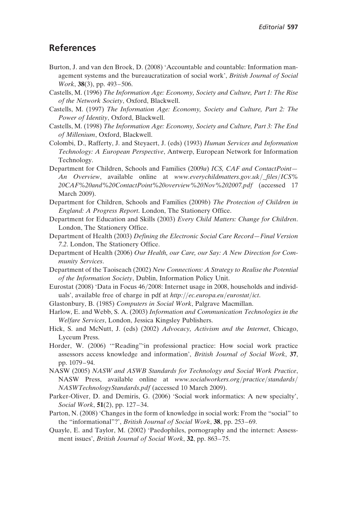### References

- Burton, J. and van den Broek, D. (2008) 'Accountable and countable: Information management systems and the bureaucratization of social work', British Journal of Social Work, 38(3), pp. 493–506.
- Castells, M. (1996) The Information Age: Economy, Society and Culture, Part 1: The Rise of the Network Society, Oxford, Blackwell.
- Castells, M. (1997) The Information Age: Economy, Society and Culture, Part 2: The Power of Identity, Oxford, Blackwell.
- Castells, M. (1998) The Information Age: Economy, Society and Culture, Part 3: The End of Millenium, Oxford, Blackwell.
- Colombi, D., Rafferty, J. and Steyaert, J. (eds) (1993) Human Services and Information Technology: A European Perspective, Antwerp, European Network for Information Technology.
- Department for Children, Schools and Families (2009a) ICS, CAF and ContactPoint-An Overview, available online at www.everychildmatters.gov.uk/files/ICS% 20CAF%20and%20ContactPoint%20overview%20Nov%202007.pdf (accessed 17 March 2009).
- Department for Children, Schools and Families (2009b) The Protection of Children in England: A Progress Report. London, The Stationery Office.
- Department for Education and Skills (2003) Every Child Matters: Change for Children. London, The Stationery Office.
- Department of Health (2003) Defining the Electronic Social Care Record—Final Version 7.2. London, The Stationery Office.
- Department of Health (2006) Our Health, our Care, our Say: A New Direction for Community Services.
- Department of the Taoiseach (2002) New Connections: A Strategy to Realise the Potential of the Information Society, Dublin, Information Policy Unit.
- Eurostat (2008) 'Data in Focus 46/2008: Internet usage in 2008, households and individuals', available free of charge in pdf at http://ec.europa.eu/eurostat/ict.
- Glastonbury, B. (1985) Computers in Social Work, Palgrave Macmillan.
- Harlow, E. and Webb, S. A. (2003) Information and Communication Technologies in the Welfare Services, London, Jessica Kingsley Publishers.
- Hick, S. and McNutt, J. (eds) (2002) Advocacy, Activism and the Internet, Chicago, Lyceum Press.
- Horder, W. (2006) '"Reading"'in professional practice: How social work practice assessors access knowledge and information', British Journal of Social Work, 37, pp. 1079 – 94.
- NASW (2005) NASW and ASWB Standards for Technology and Social Work Practice, NASW Press, available online at www.socialworkers.org/practice/standards/ NASWTechnologyStandards.pdf (accessed 10 March 2009).
- Parker-Oliver, D. and Demiris, G. (2006) 'Social work informatics: A new specialty', Social Work, **51**(2), pp. 127–34.
- Parton, N. (2008) 'Changes in the form of knowledge in social work: From the "social" to the "informational"?', British Journal of Social Work, 38, pp. 253 –69.
- Quayle, E. and Taylor, M. (2002) 'Paedophiles, pornography and the internet: Assessment issues', British Journal of Social Work, 32, pp. 863-75.